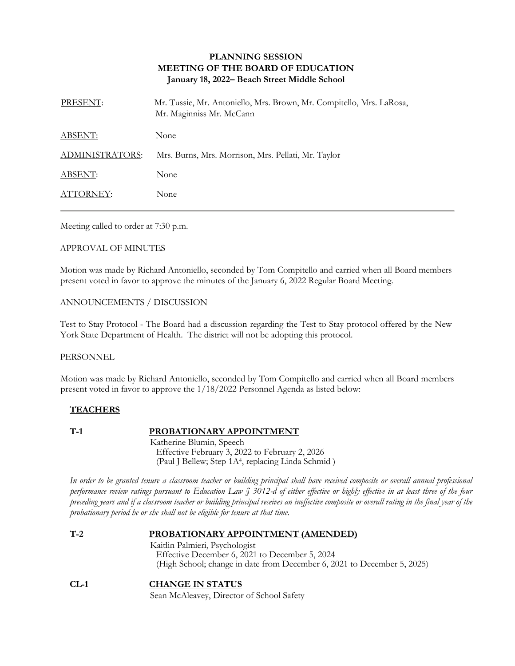## **PLANNING SESSION MEETING OF THE BOARD OF EDUCATION January 18, 2022– Beach Street Middle School**

| PRESENT:               | Mr. Tussie, Mr. Antoniello, Mrs. Brown, Mr. Compitello, Mrs. LaRosa,<br>Mr. Maginniss Mr. McCann |
|------------------------|--------------------------------------------------------------------------------------------------|
| <b>ABSENT:</b>         | None                                                                                             |
| <b>ADMINISTRATORS:</b> | Mrs. Burns, Mrs. Morrison, Mrs. Pellati, Mr. Taylor                                              |
| ABSENT:                | None                                                                                             |
| ATTORNEY:              | None                                                                                             |

Meeting called to order at 7:30 p.m.

### APPROVAL OF MINUTES

Motion was made by Richard Antoniello, seconded by Tom Compitello and carried when all Board members present voted in favor to approve the minutes of the January 6, 2022 Regular Board Meeting.

### ANNOUNCEMENTS / DISCUSSION

Test to Stay Protocol - The Board had a discussion regarding the Test to Stay protocol offered by the New York State Department of Health. The district will not be adopting this protocol.

#### **PERSONNEL**

Motion was made by Richard Antoniello, seconded by Tom Compitello and carried when all Board members present voted in favor to approve the 1/18/2022 Personnel Agenda as listed below:

### **TEACHERS**

## **T-1 PROBATIONARY APPOINTMENT**

Katherine Blumin, Speech Effective February 3, 2022 to February 2, 2026 (Paul J Bellew; Step 1A<sup>4</sup> , replacing Linda Schmid )

*In order to be granted tenure a classroom teacher or building principal shall have received composite or overall annual professional performance review ratings pursuant to Education Law § 3012-d of either effective or highly effective in at least three of the four preceding years and if a classroom teacher or building principal receives an ineffective composite or overall rating in the final year of the probationary period he or she shall not be eligible for tenure at that time.*

- **T-2 PROBATIONARY APPOINTMENT (AMENDED)** Kaitlin Palmieri, Psychologist Effective December 6, 2021 to December 5, 2024 (High School; change in date from December 6, 2021 to December 5, 2025)
- **CL-1 CHANGE IN STATUS** Sean McAleavey, Director of School Safety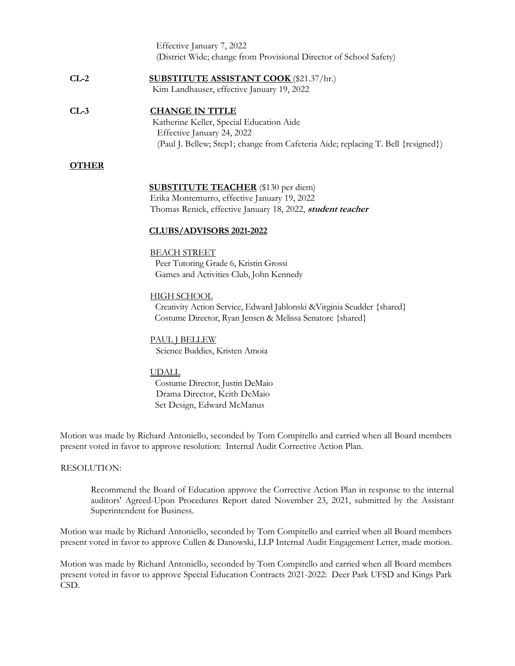Effective January 7, 2022 (District Wide; change from Provisional Director of School Safety)

# **CL-2 SUBSTITUTE ASSISTANT COOK** (\$21.37/hr.)

Kim Landhauser, effective January 19, 2022

#### **CL-3 CHANGE IN TITLE** Katherine Keller, Special Education Aide Effective January 24, 2022 (Paul J. Bellew; Step1; change from Cafeteria Aide; replacing T. Bell {resigned})

### **OTHER**

### **SUBSTITUTE TEACHER** (\$130 per diem)

Erika Montemurro, effective January 19, 2022 Thomas Renick, effective January 18, 2022, **student teacher**

### **CLUBS/ADVISORS 2021-2022**

#### BEACH STREET

Peer Tutoring Grade 6, Kristin Grossi Games and Activities Club, John Kennedy

#### HIGH SCHOOL

Creativity Action Service, Edward Jablonski &Virginia Scudder {shared} Costume Director, Ryan Jensen & Melissa Senatore {shared}

PAUL J BELLEW Science Buddies, Kristen Amoia

#### UDALL

Costume Director, Justin DeMaio Drama Director, Keith DeMaio Set Design, Edward McManus

Motion was made by Richard Antoniello, seconded by Tom Compitello and carried when all Board members present voted in favor to approve resolution: Internal Audit Corrective Action Plan.

#### RESOLUTION:

Recommend the Board of Education approve the Corrective Action Plan in response to the internal auditors' Agreed-Upon Procedures Report dated November 23, 2021, submitted by the Assistant Superintendent for Business.

Motion was made by Richard Antoniello, seconded by Tom Compitello and carried when all Board members present voted in favor to approve Cullen & Danowski, LLP Internal Audit Engagement Letter, made motion.

Motion was made by Richard Antoniello, seconded by Tom Compitello and carried when all Board members present voted in favor to approve Special Education Contracts 2021-2022: Deer Park UFSD and Kings Park CSD.